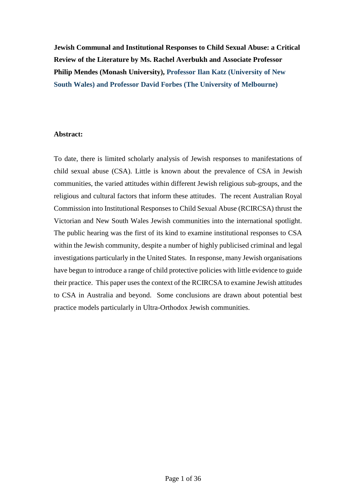**Jewish Communal and Institutional Responses to Child Sexual Abuse: a Critical Review of the Literature by Ms. Rachel Averbukh and Associate Professor Philip Mendes (Monash University), Professor Ilan Katz (University of New South Wales) and Professor David Forbes (The University of Melbourne)**

## **Abstract:**

To date, there is limited scholarly analysis of Jewish responses to manifestations of child sexual abuse (CSA). Little is known about the prevalence of CSA in Jewish communities, the varied attitudes within different Jewish religious sub-groups, and the religious and cultural factors that inform these attitudes. The recent Australian Royal Commission into Institutional Responses to Child Sexual Abuse (RCIRCSA) thrust the Victorian and New South Wales Jewish communities into the international spotlight. The public hearing was the first of its kind to examine institutional responses to CSA within the Jewish community, despite a number of highly publicised criminal and legal investigations particularly in the United States. In response, many Jewish organisations have begun to introduce a range of child protective policies with little evidence to guide their practice. This paper uses the context of the RCIRCSA to examine Jewish attitudes to CSA in Australia and beyond. Some conclusions are drawn about potential best practice models particularly in Ultra-Orthodox Jewish communities.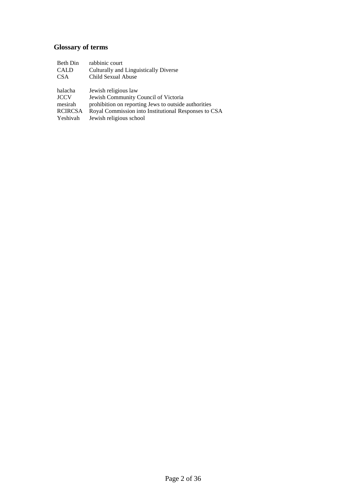# **Glossary of terms**

| Beth Din       | rabbinic court                                       |
|----------------|------------------------------------------------------|
| <b>CALD</b>    | Culturally and Linguistically Diverse                |
| <b>CSA</b>     | Child Sexual Abuse                                   |
|                |                                                      |
| halacha        | Jewish religious law                                 |
| <b>JCCV</b>    | Jewish Community Council of Victoria                 |
| mesirah        | prohibition on reporting Jews to outside authorities |
| <b>RCIRCSA</b> | Royal Commission into Institutional Responses to CSA |
| Yeshivah       | Jewish religious school                              |
|                |                                                      |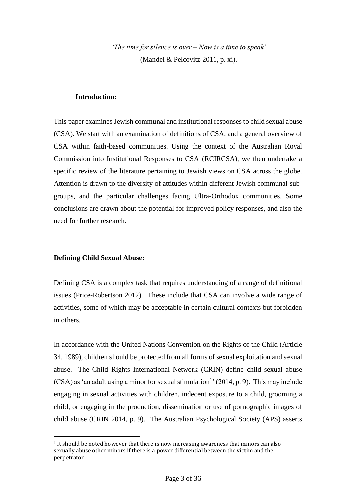*'The time for silence is over – Now is a time to speak'*  (Mandel & Pelcovitz 2011, p. xi).

## **Introduction:**

This paper examines Jewish communal and institutional responses to child sexual abuse (CSA). We start with an examination of definitions of CSA, and a general overview of CSA within faith-based communities. Using the context of the Australian Royal Commission into Institutional Responses to CSA (RCIRCSA), we then undertake a specific review of the literature pertaining to Jewish views on CSA across the globe. Attention is drawn to the diversity of attitudes within different Jewish communal subgroups, and the particular challenges facing Ultra-Orthodox communities. Some conclusions are drawn about the potential for improved policy responses, and also the need for further research.

## **Defining Child Sexual Abuse:**

 $\overline{\phantom{a}}$ 

Defining CSA is a complex task that requires understanding of a range of definitional issues (Price-Robertson 2012). These include that CSA can involve a wide range of activities, some of which may be acceptable in certain cultural contexts but forbidden in others.

In accordance with the United Nations Convention on the Rights of the Child (Article 34, 1989), children should be protected from all forms of sexual exploitation and sexual abuse. The Child Rights International Network (CRIN) define child sexual abuse  $(CSA)$  as 'an adult using a minor for sexual stimulation<sup>1</sup> (2014, p. 9). This may include engaging in sexual activities with children, indecent exposure to a child, grooming a child, or engaging in the production, dissemination or use of pornographic images of child abuse (CRIN 2014, p. 9). The Australian Psychological Society (APS) asserts

<sup>&</sup>lt;sup>1</sup> It should be noted however that there is now increasing awareness that minors can also sexually abuse other minors if there is a power differential between the victim and the perpetrator.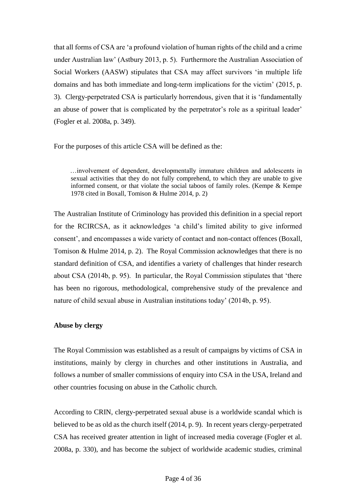that all forms of CSA are 'a profound violation of human rights of the child and a crime under Australian law' (Astbury 2013, p. 5). Furthermore the Australian Association of Social Workers (AASW) stipulates that CSA may affect survivors 'in multiple life domains and has both immediate and long-term implications for the victim' (2015, p. 3). Clergy-perpetrated CSA is particularly horrendous, given that it is 'fundamentally an abuse of power that is complicated by the perpetrator's role as a spiritual leader' (Fogler et al. 2008a, p. 349).

For the purposes of this article CSA will be defined as the:

…involvement of dependent, developmentally immature children and adolescents in sexual activities that they do not fully comprehend, to which they are unable to give informed consent, or that violate the social taboos of family roles. (Kempe & Kempe 1978 cited in Boxall, Tomison & Hulme 2014, p. 2)

The Australian Institute of Criminology has provided this definition in a special report for the RCIRCSA, as it acknowledges 'a child's limited ability to give informed consent', and encompasses a wide variety of contact and non-contact offences (Boxall, Tomison & Hulme 2014, p. 2). The Royal Commission acknowledges that there is no standard definition of CSA, and identifies a variety of challenges that hinder research about CSA (2014b, p. 95). In particular, the Royal Commission stipulates that 'there has been no rigorous, methodological, comprehensive study of the prevalence and nature of child sexual abuse in Australian institutions today' (2014b, p. 95).

## **Abuse by clergy**

The Royal Commission was established as a result of campaigns by victims of CSA in institutions, mainly by clergy in churches and other institutions in Australia, and follows a number of smaller commissions of enquiry into CSA in the USA, Ireland and other countries focusing on abuse in the Catholic church.

According to CRIN, clergy-perpetrated sexual abuse is a worldwide scandal which is believed to be as old as the church itself (2014, p. 9). In recent years clergy-perpetrated CSA has received greater attention in light of increased media coverage (Fogler et al. 2008a, p. 330), and has become the subject of worldwide academic studies, criminal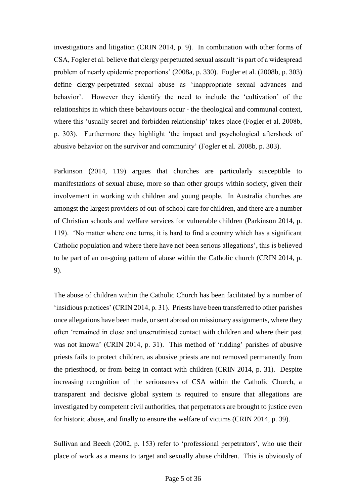investigations and litigation (CRIN 2014, p. 9). In combination with other forms of CSA, Fogler et al. believe that clergy perpetuated sexual assault 'is part of a widespread problem of nearly epidemic proportions' (2008a, p. 330). Fogler et al. (2008b, p. 303) define clergy-perpetrated sexual abuse as 'inappropriate sexual advances and behavior'. However they identify the need to include the 'cultivation' of the relationships in which these behaviours occur - the theological and communal context, where this 'usually secret and forbidden relationship' takes place (Fogler et al. 2008b, p. 303). Furthermore they highlight 'the impact and psychological aftershock of abusive behavior on the survivor and community' (Fogler et al. 2008b, p. 303).

Parkinson (2014, 119) argues that churches are particularly susceptible to manifestations of sexual abuse, more so than other groups within society, given their involvement in working with children and young people. In Australia churches are amongst the largest providers of out-of school care for children, and there are a number of Christian schools and welfare services for vulnerable children (Parkinson 2014, p. 119). 'No matter where one turns, it is hard to find a country which has a significant Catholic population and where there have not been serious allegations', this is believed to be part of an on-going pattern of abuse within the Catholic church (CRIN 2014, p. 9).

The abuse of children within the Catholic Church has been facilitated by a number of 'insidious practices' (CRIN 2014, p. 31). Priests have been transferred to other parishes once allegations have been made, or sent abroad on missionary assignments, where they often 'remained in close and unscrutinised contact with children and where their past was not known' (CRIN 2014, p. 31). This method of 'ridding' parishes of abusive priests fails to protect children, as abusive priests are not removed permanently from the priesthood, or from being in contact with children (CRIN 2014, p. 31). Despite increasing recognition of the seriousness of CSA within the Catholic Church, a transparent and decisive global system is required to ensure that allegations are investigated by competent civil authorities, that perpetrators are brought to justice even for historic abuse, and finally to ensure the welfare of victims (CRIN 2014, p. 39).

Sullivan and Beech (2002, p. 153) refer to 'professional perpetrators', who use their place of work as a means to target and sexually abuse children. This is obviously of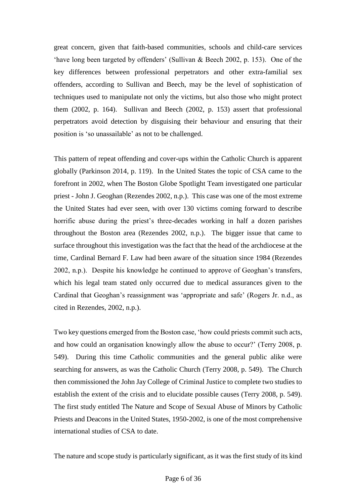great concern, given that faith-based communities, schools and child-care services 'have long been targeted by offenders' (Sullivan & Beech 2002, p. 153). One of the key differences between professional perpetrators and other extra-familial sex offenders, according to Sullivan and Beech, may be the level of sophistication of techniques used to manipulate not only the victims, but also those who might protect them (2002, p. 164). Sullivan and Beech (2002, p. 153) assert that professional perpetrators avoid detection by disguising their behaviour and ensuring that their position is 'so unassailable' as not to be challenged.

This pattern of repeat offending and cover-ups within the Catholic Church is apparent globally (Parkinson 2014, p. 119). In the United States the topic of CSA came to the forefront in 2002, when The Boston Globe Spotlight Team investigated one particular priest - John J. Geoghan (Rezendes 2002, n.p.). This case was one of the most extreme the United States had ever seen, with over 130 victims coming forward to describe horrific abuse during the priest's three-decades working in half a dozen parishes throughout the Boston area (Rezendes 2002, n.p.). The bigger issue that came to surface throughout this investigation was the fact that the head of the archdiocese at the time, Cardinal Bernard F. Law had been aware of the situation since 1984 (Rezendes 2002, n.p.). Despite his knowledge he continued to approve of Geoghan's transfers, which his legal team stated only occurred due to medical assurances given to the Cardinal that Geoghan's reassignment was 'appropriate and safe' (Rogers Jr. n.d., as cited in Rezendes, 2002, n.p.).

Two key questions emerged from the Boston case, 'how could priests commit such acts, and how could an organisation knowingly allow the abuse to occur?' (Terry 2008, p. 549). During this time Catholic communities and the general public alike were searching for answers, as was the Catholic Church (Terry 2008, p. 549). The Church then commissioned the John Jay College of Criminal Justice to complete two studies to establish the extent of the crisis and to elucidate possible causes (Terry 2008, p. 549). The first study entitled The Nature and Scope of Sexual Abuse of Minors by Catholic Priests and Deacons in the United States, 1950-2002, is one of the most comprehensive international studies of CSA to date.

The nature and scope study is particularly significant, as it was the first study of its kind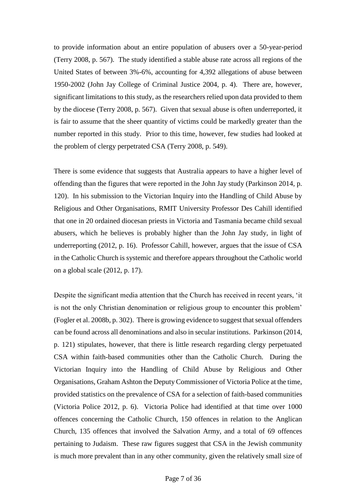to provide information about an entire population of abusers over a 50-year-period (Terry 2008, p. 567). The study identified a stable abuse rate across all regions of the United States of between 3%-6%, accounting for 4,392 allegations of abuse between 1950-2002 (John Jay College of Criminal Justice 2004, p. 4). There are, however, significant limitations to this study, as the researchers relied upon data provided to them by the diocese (Terry 2008, p. 567). Given that sexual abuse is often underreported, it is fair to assume that the sheer quantity of victims could be markedly greater than the number reported in this study. Prior to this time, however, few studies had looked at the problem of clergy perpetrated CSA (Terry 2008, p. 549).

There is some evidence that suggests that Australia appears to have a higher level of offending than the figures that were reported in the John Jay study (Parkinson 2014, p. 120). In his submission to the Victorian Inquiry into the Handling of Child Abuse by Religious and Other Organisations, RMIT University Professor Des Cahill identified that one in 20 ordained diocesan priests in Victoria and Tasmania became child sexual abusers, which he believes is probably higher than the John Jay study, in light of underreporting (2012, p. 16). Professor Cahill, however, argues that the issue of CSA in the Catholic Church is systemic and therefore appears throughout the Catholic world on a global scale (2012, p. 17).

Despite the significant media attention that the Church has received in recent years, 'it is not the only Christian denomination or religious group to encounter this problem' (Fogler et al. 2008b, p. 302). There is growing evidence to suggest that sexual offenders can be found across all denominations and also in secular institutions. Parkinson (2014, p. 121) stipulates, however, that there is little research regarding clergy perpetuated CSA within faith-based communities other than the Catholic Church. During the Victorian Inquiry into the Handling of Child Abuse by Religious and Other Organisations, Graham Ashton the Deputy Commissioner of Victoria Police at the time, provided statistics on the prevalence of CSA for a selection of faith-based communities (Victoria Police 2012, p. 6). Victoria Police had identified at that time over 1000 offences concerning the Catholic Church, 150 offences in relation to the Anglican Church, 135 offences that involved the Salvation Army, and a total of 69 offences pertaining to Judaism. These raw figures suggest that CSA in the Jewish community is much more prevalent than in any other community, given the relatively small size of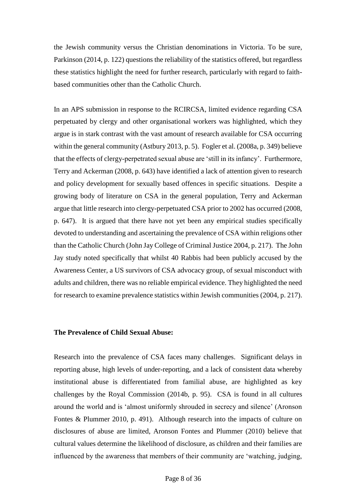the Jewish community versus the Christian denominations in Victoria. To be sure, Parkinson (2014, p. 122) questions the reliability of the statistics offered, but regardless these statistics highlight the need for further research, particularly with regard to faithbased communities other than the Catholic Church.

In an APS submission in response to the RCIRCSA, limited evidence regarding CSA perpetuated by clergy and other organisational workers was highlighted, which they argue is in stark contrast with the vast amount of research available for CSA occurring within the general community (Astbury 2013, p. 5). Fogler et al. (2008a, p. 349) believe that the effects of clergy-perpetrated sexual abuse are 'still in its infancy'. Furthermore, Terry and Ackerman (2008, p. 643) have identified a lack of attention given to research and policy development for sexually based offences in specific situations. Despite a growing body of literature on CSA in the general population, Terry and Ackerman argue that little research into clergy-perpetuated CSA prior to 2002 has occurred (2008, p. 647). It is argued that there have not yet been any empirical studies specifically devoted to understanding and ascertaining the prevalence of CSA within religions other than the Catholic Church (John Jay College of Criminal Justice 2004, p. 217). The John Jay study noted specifically that whilst 40 Rabbis had been publicly accused by the Awareness Center, a US survivors of CSA advocacy group, of sexual misconduct with adults and children, there was no reliable empirical evidence. They highlighted the need for research to examine prevalence statistics within Jewish communities (2004, p. 217).

## **The Prevalence of Child Sexual Abuse:**

Research into the prevalence of CSA faces many challenges. Significant delays in reporting abuse, high levels of under-reporting, and a lack of consistent data whereby institutional abuse is differentiated from familial abuse, are highlighted as key challenges by the Royal Commission (2014b, p. 95). CSA is found in all cultures around the world and is 'almost uniformly shrouded in secrecy and silence' (Aronson Fontes & Plummer 2010, p. 491). Although research into the impacts of culture on disclosures of abuse are limited, Aronson Fontes and Plummer (2010) believe that cultural values determine the likelihood of disclosure, as children and their families are influenced by the awareness that members of their community are 'watching, judging,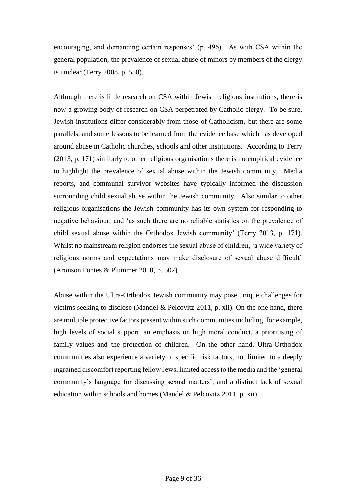encouraging, and demanding certain responses' (p. 496). As with CSA within the general population, the prevalence of sexual abuse of minors by members of the clergy is unclear (Terry 2008, p. 550).

Although there is little research on CSA within Jewish religious institutions, there is now a growing body of research on CSA perpetrated by Catholic clergy. To be sure, Jewish institutions differ considerably from those of Catholicism, but there are some parallels, and some lessons to be learned from the evidence base which has developed around abuse in Catholic churches, schools and other institutions. According to Terry (2013, p. 171) similarly to other religious organisations there is no empirical evidence to highlight the prevalence of sexual abuse within the Jewish community. Media reports, and communal survivor websites have typically informed the discussion surrounding child sexual abuse within the Jewish community. Also similar to other religious organisations the Jewish community has its own system for responding to negative behaviour, and 'as such there are no reliable statistics on the prevalence of child sexual abuse within the Orthodox Jewish community' (Terry 2013, p. 171). Whilst no mainstream religion endorses the sexual abuse of children, 'a wide variety of religious norms and expectations may make disclosure of sexual abuse difficult' (Aronson Fontes & Plummer 2010, p. 502).

Abuse within the Ultra-Orthodox Jewish community may pose unique challenges for victims seeking to disclose (Mandel & Pelcovitz 2011, p. xii). On the one hand, there are multiple protective factors present within such communities including, for example, high levels of social support, an emphasis on high moral conduct, a prioritising of family values and the protection of children. On the other hand, Ultra-Orthodox communities also experience a variety of specific risk factors, not limited to a deeply ingrained discomfort reporting fellow Jews, limited access to the media and the 'general community's language for discussing sexual matters', and a distinct lack of sexual education within schools and homes (Mandel & Pelcovitz 2011, p. xii).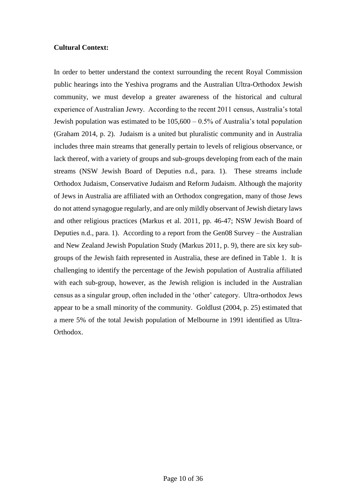# **Cultural Context:**

In order to better understand the context surrounding the recent Royal Commission public hearings into the Yeshiva programs and the Australian Ultra-Orthodox Jewish community, we must develop a greater awareness of the historical and cultural experience of Australian Jewry. According to the recent 2011 census, Australia's total Jewish population was estimated to be 105,600 – 0.5% of Australia's total population (Graham 2014, p. 2). Judaism is a united but pluralistic community and in Australia includes three main streams that generally pertain to levels of religious observance, or lack thereof, with a variety of groups and sub-groups developing from each of the main streams (NSW Jewish Board of Deputies n.d., para. 1). These streams include Orthodox Judaism, Conservative Judaism and Reform Judaism. Although the majority of Jews in Australia are affiliated with an Orthodox congregation, many of those Jews do not attend synagogue regularly, and are only mildly observant of Jewish dietary laws and other religious practices (Markus et al. 2011, pp. 46-47; NSW Jewish Board of Deputies n.d., para. 1). According to a report from the Gen08 Survey – the Australian and New Zealand Jewish Population Study (Markus 2011, p. 9), there are six key subgroups of the Jewish faith represented in Australia, these are defined in Table 1. It is challenging to identify the percentage of the Jewish population of Australia affiliated with each sub-group, however, as the Jewish religion is included in the Australian census as a singular group, often included in the 'other' category. Ultra-orthodox Jews appear to be a small minority of the community. Goldlust (2004, p. 25) estimated that a mere 5% of the total Jewish population of Melbourne in 1991 identified as Ultra-Orthodox.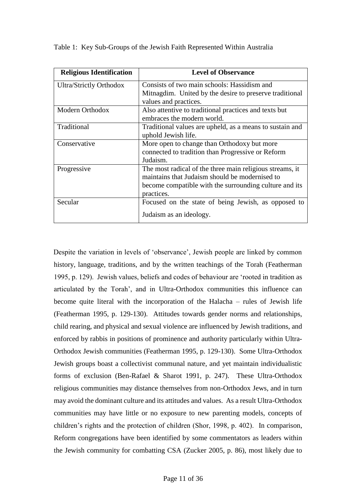| <b>Religious Identification</b> | <b>Level of Observance</b>                               |
|---------------------------------|----------------------------------------------------------|
| <b>Ultra/Strictly Orthodox</b>  | Consists of two main schools: Hassidism and              |
|                                 | Mitnagdim. United by the desire to preserve traditional  |
|                                 | values and practices.                                    |
| Modern Orthodox                 | Also attentive to traditional practices and texts but    |
|                                 | embraces the modern world.                               |
| Traditional                     | Traditional values are upheld, as a means to sustain and |
|                                 | uphold Jewish life.                                      |
| Conservative                    | More open to change than Orthodoxy but more              |
|                                 | connected to tradition than Progressive or Reform        |
|                                 | Judaism.                                                 |
| Progressive                     | The most radical of the three main religious streams, it |
|                                 | maintains that Judaism should be modernised to           |
|                                 | become compatible with the surrounding culture and its   |
|                                 | practices.                                               |
| Secular                         | Focused on the state of being Jewish, as opposed to      |
|                                 | Judaism as an ideology.                                  |

Table 1: Key Sub-Groups of the Jewish Faith Represented Within Australia

Despite the variation in levels of 'observance', Jewish people are linked by common history, language, traditions, and by the written teachings of the Torah (Featherman 1995, p. 129). Jewish values, beliefs and codes of behaviour are 'rooted in tradition as articulated by the Torah', and in Ultra-Orthodox communities this influence can become quite literal with the incorporation of the Halacha – rules of Jewish life (Featherman 1995, p. 129-130). Attitudes towards gender norms and relationships, child rearing, and physical and sexual violence are influenced by Jewish traditions, and enforced by rabbis in positions of prominence and authority particularly within Ultra-Orthodox Jewish communities (Featherman 1995, p. 129-130). Some Ultra-Orthodox Jewish groups boast a collectivist communal nature, and yet maintain individualistic forms of exclusion (Ben-Rafael & Sharot 1991, p. 247). These Ultra-Orthodox religious communities may distance themselves from non-Orthodox Jews, and in turn may avoid the dominant culture and its attitudes and values. As a result Ultra-Orthodox communities may have little or no exposure to new parenting models, concepts of children's rights and the protection of children (Shor, 1998, p. 402). In comparison, Reform congregations have been identified by some commentators as leaders within the Jewish community for combatting CSA (Zucker 2005, p. 86), most likely due to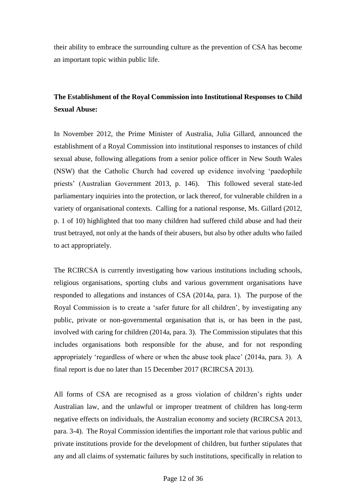their ability to embrace the surrounding culture as the prevention of CSA has become an important topic within public life.

# **The Establishment of the Royal Commission into Institutional Responses to Child Sexual Abuse:**

In November 2012, the Prime Minister of Australia, Julia Gillard, announced the establishment of a Royal Commission into institutional responses to instances of child sexual abuse, following allegations from a senior police officer in New South Wales (NSW) that the Catholic Church had covered up evidence involving 'paedophile priests' (Australian Government 2013, p. 146). This followed several state-led parliamentary inquiries into the protection, or lack thereof, for vulnerable children in a variety of organisational contexts. Calling for a national response, Ms. Gillard (2012, p. 1 of 10) highlighted that too many children had suffered child abuse and had their trust betrayed, not only at the hands of their abusers, but also by other adults who failed to act appropriately.

The RCIRCSA is currently investigating how various institutions including schools, religious organisations, sporting clubs and various government organisations have responded to allegations and instances of CSA (2014a, para. 1). The purpose of the Royal Commission is to create a 'safer future for all children', by investigating any public, private or non-governmental organisation that is, or has been in the past, involved with caring for children (2014a, para. 3). The Commission stipulates that this includes organisations both responsible for the abuse, and for not responding appropriately 'regardless of where or when the abuse took place' (2014a, para. 3). A final report is due no later than 15 December 2017 (RCIRCSA 2013).

All forms of CSA are recognised as a gross violation of children's rights under Australian law, and the unlawful or improper treatment of children has long-term negative effects on individuals, the Australian economy and society (RCIRCSA 2013, para. 3-4). The Royal Commission identifies the important role that various public and private institutions provide for the development of children, but further stipulates that any and all claims of systematic failures by such institutions, specifically in relation to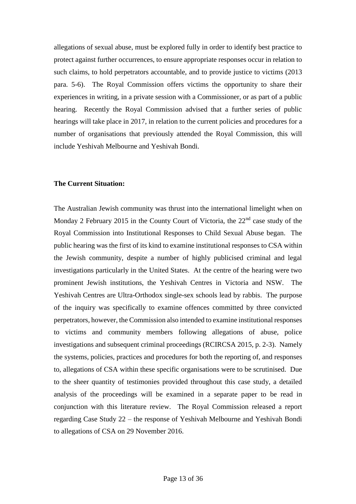allegations of sexual abuse, must be explored fully in order to identify best practice to protect against further occurrences, to ensure appropriate responses occur in relation to such claims, to hold perpetrators accountable, and to provide justice to victims (2013 para. 5-6). The Royal Commission offers victims the opportunity to share their experiences in writing, in a private session with a Commissioner, or as part of a public hearing. Recently the Royal Commission advised that a further series of public hearings will take place in 2017, in relation to the current policies and procedures for a number of organisations that previously attended the Royal Commission, this will include Yeshivah Melbourne and Yeshivah Bondi.

#### **The Current Situation:**

The Australian Jewish community was thrust into the international limelight when on Monday 2 February 2015 in the County Court of Victoria, the 22<sup>nd</sup> case study of the Royal Commission into Institutional Responses to Child Sexual Abuse began. The public hearing was the first of its kind to examine institutional responses to CSA within the Jewish community, despite a number of highly publicised criminal and legal investigations particularly in the United States. At the centre of the hearing were two prominent Jewish institutions, the Yeshivah Centres in Victoria and NSW. The Yeshivah Centres are Ultra-Orthodox single-sex schools lead by rabbis. The purpose of the inquiry was specifically to examine offences committed by three convicted perpetrators, however, the Commission also intended to examine institutional responses to victims and community members following allegations of abuse, police investigations and subsequent criminal proceedings (RCIRCSA 2015, p. 2-3). Namely the systems, policies, practices and procedures for both the reporting of, and responses to, allegations of CSA within these specific organisations were to be scrutinised. Due to the sheer quantity of testimonies provided throughout this case study, a detailed analysis of the proceedings will be examined in a separate paper to be read in conjunction with this literature review. The Royal Commission released a report regarding Case Study 22 – the response of Yeshivah Melbourne and Yeshivah Bondi to allegations of CSA on 29 November 2016.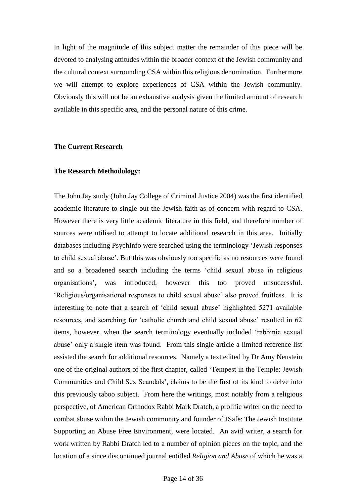In light of the magnitude of this subject matter the remainder of this piece will be devoted to analysing attitudes within the broader context of the Jewish community and the cultural context surrounding CSA within this religious denomination. Furthermore we will attempt to explore experiences of CSA within the Jewish community. Obviously this will not be an exhaustive analysis given the limited amount of research available in this specific area, and the personal nature of this crime.

#### **The Current Research**

#### **The Research Methodology:**

The John Jay study (John Jay College of Criminal Justice 2004) was the first identified academic literature to single out the Jewish faith as of concern with regard to CSA. However there is very little academic literature in this field, and therefore number of sources were utilised to attempt to locate additional research in this area. Initially databases including PsychInfo were searched using the terminology 'Jewish responses to child sexual abuse'. But this was obviously too specific as no resources were found and so a broadened search including the terms 'child sexual abuse in religious organisations', was introduced, however this too proved unsuccessful. 'Religious/organisational responses to child sexual abuse' also proved fruitless. It is interesting to note that a search of 'child sexual abuse' highlighted 5271 available resources, and searching for 'catholic church and child sexual abuse' resulted in 62 items, however, when the search terminology eventually included 'rabbinic sexual abuse' only a single item was found. From this single article a limited reference list assisted the search for additional resources. Namely a text edited by Dr Amy Neustein one of the original authors of the first chapter, called 'Tempest in the Temple: Jewish Communities and Child Sex Scandals', claims to be the first of its kind to delve into this previously taboo subject. From here the writings, most notably from a religious perspective, of American Orthodox Rabbi Mark Dratch, a prolific writer on the need to combat abuse within the Jewish community and founder of JSafe: The Jewish Institute Supporting an Abuse Free Environment, were located. An avid writer, a search for work written by Rabbi Dratch led to a number of opinion pieces on the topic, and the location of a since discontinued journal entitled *Religion and Abuse* of which he was a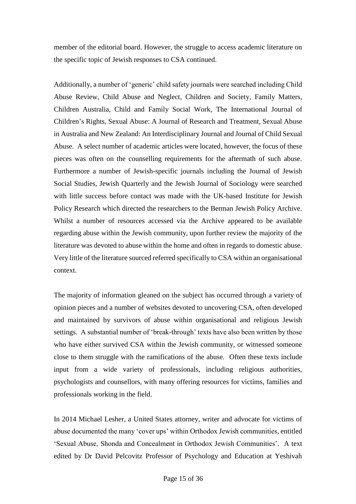member of the editorial board. However, the struggle to access academic literature on the specific topic of Jewish responses to CSA continued.

Additionally, a number of 'generic' child safety journals were searched including Child Abuse Review*,* Child Abuse and Neglect*,* Children and Society*,* Family Matters*,*  Children Australia*,* Child and Family Social Work*,* The International Journal of Children's Rights, Sexual Abuse: A Journal of Research and Treatment*,* Sexual Abuse in Australia and New Zealand: An Interdisciplinary Journal and Journal of Child Sexual Abuse. A select number of academic articles were located, however, the focus of these pieces was often on the counselling requirements for the aftermath of such abuse. Furthermore a number of Jewish-specific journals including the Journal of Jewish Social Studies, Jewish Quarterly and the Jewish Journal of Sociology were searched with little success before contact was made with the UK-based Institute for Jewish Policy Research which directed the researchers to the Berman Jewish Policy Archive. Whilst a number of resources accessed via the Archive appeared to be available regarding abuse within the Jewish community, upon further review the majority of the literature was devoted to abuse within the home and often in regards to domestic abuse. Very little of the literature sourced referred specifically to CSA within an organisational context.

The majority of information gleaned on the subject has occurred through a variety of opinion pieces and a number of websites devoted to uncovering CSA, often developed and maintained by survivors of abuse within organisational and religious Jewish settings. A substantial number of 'break-through' texts have also been written by those who have either survived CSA within the Jewish community, or witnessed someone close to them struggle with the ramifications of the abuse. Often these texts include input from a wide variety of professionals, including religious authorities, psychologists and counsellors, with many offering resources for victims, families and professionals working in the field.

In 2014 Michael Lesher, a United States attorney, writer and advocate for victims of abuse documented the many 'cover ups' within Orthodox Jewish communities, entitled 'Sexual Abuse, Shonda and Concealment in Orthodox Jewish Communities'. A text edited by Dr David Pelcovitz Professor of Psychology and Education at Yeshivah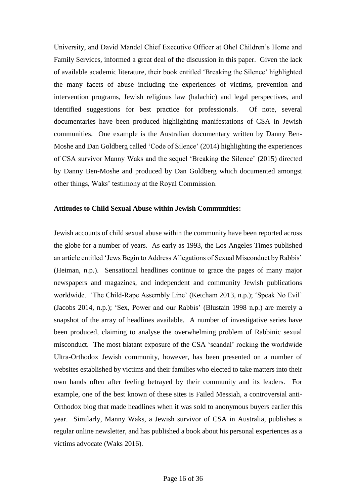University, and David Mandel Chief Executive Officer at Ohel Children's Home and Family Services, informed a great deal of the discussion in this paper. Given the lack of available academic literature, their book entitled 'Breaking the Silence' highlighted the many facets of abuse including the experiences of victims, prevention and intervention programs, Jewish religious law (halachic) and legal perspectives, and identified suggestions for best practice for professionals. Of note, several documentaries have been produced highlighting manifestations of CSA in Jewish communities. One example is the Australian documentary written by Danny Ben-Moshe and Dan Goldberg called 'Code of Silence' (2014) highlighting the experiences of CSA survivor Manny Waks and the sequel 'Breaking the Silence' (2015) directed by Danny Ben-Moshe and produced by Dan Goldberg which documented amongst other things, Waks' testimony at the Royal Commission.

# **Attitudes to Child Sexual Abuse within Jewish Communities:**

Jewish accounts of child sexual abuse within the community have been reported across the globe for a number of years. As early as 1993, the Los Angeles Times published an article entitled 'Jews Begin to Address Allegations of Sexual Misconduct by Rabbis' (Heiman, n.p.). Sensational headlines continue to grace the pages of many major newspapers and magazines, and independent and community Jewish publications worldwide. 'The Child-Rape Assembly Line' (Ketcham 2013, n.p.); 'Speak No Evil' (Jacobs 2014, n.p.); 'Sex, Power and our Rabbis' (Blustain 1998 n.p.) are merely a snapshot of the array of headlines available. A number of investigative series have been produced, claiming to analyse the overwhelming problem of Rabbinic sexual misconduct. The most blatant exposure of the CSA 'scandal' rocking the worldwide Ultra-Orthodox Jewish community, however, has been presented on a number of websites established by victims and their families who elected to take matters into their own hands often after feeling betrayed by their community and its leaders. For example, one of the best known of these sites is Failed Messiah, a controversial anti-Orthodox blog that made headlines when it was sold to anonymous buyers earlier this year. Similarly, Manny Waks, a Jewish survivor of CSA in Australia, publishes a regular online newsletter, and has published a book about his personal experiences as a victims advocate (Waks 2016).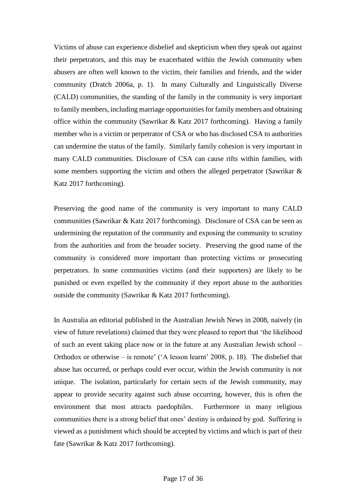Victims of abuse can experience disbelief and skepticism when they speak out against their perpetrators, and this may be exacerbated within the Jewish community when abusers are often well known to the victim, their families and friends, and the wider community (Dratch 2006a, p. 1). In many Culturally and Linguistically Diverse (CALD) communities, the standing of the family in the community is very important to family members, including marriage opportunities for family members and obtaining office within the community (Sawrikar & Katz 2017 forthcoming). Having a family member who is a victim or perpetrator of CSA or who has disclosed CSA to authorities can undermine the status of the family. Similarly family cohesion is very important in many CALD communities. Disclosure of CSA can cause rifts within families, with some members supporting the victim and others the alleged perpetrator (Sawrikar  $\&$ Katz 2017 forthcoming).

Preserving the good name of the community is very important to many CALD communities (Sawrikar & Katz 2017 forthcoming). Disclosure of CSA can be seen as undermining the reputation of the community and exposing the community to scrutiny from the authorities and from the broader society. Preserving the good name of the community is considered more important than protecting victims or prosecuting perpetrators. In some communities victims (and their supporters) are likely to be punished or even expelled by the community if they report abuse to the authorities outside the community (Sawrikar & Katz 2017 forthcoming).

In Australia an editorial published in the Australian Jewish News in 2008, naively (in view of future revelations) claimed that they were pleased to report that 'the likelihood of such an event taking place now or in the future at any Australian Jewish school – Orthodox or otherwise – is remote' ('A lesson learnt' 2008, p. 18). The disbelief that abuse has occurred, or perhaps could ever occur, within the Jewish community is not unique. The isolation, particularly for certain sects of the Jewish community, may appear to provide security against such abuse occurring, however, this is often the environment that most attracts paedophiles. Furthermore in many religious communities there is a strong belief that ones' destiny is ordained by god. Suffering is viewed as a punishment which should be accepted by victims and which is part of their fate (Sawrikar & Katz 2017 forthcoming).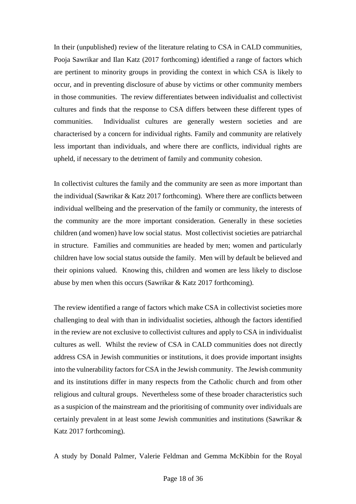In their (unpublished) review of the literature relating to CSA in CALD communities, Pooja Sawrikar and Ilan Katz (2017 forthcoming) identified a range of factors which are pertinent to minority groups in providing the context in which CSA is likely to occur, and in preventing disclosure of abuse by victims or other community members in those communities. The review differentiates between individualist and collectivist cultures and finds that the response to CSA differs between these different types of communities. Individualist cultures are generally western societies and are characterised by a concern for individual rights. Family and community are relatively less important than individuals, and where there are conflicts, individual rights are upheld, if necessary to the detriment of family and community cohesion.

In collectivist cultures the family and the community are seen as more important than the individual (Sawrikar & Katz 2017 forthcoming). Where there are conflicts between individual wellbeing and the preservation of the family or community, the interests of the community are the more important consideration. Generally in these societies children (and women) have low social status. Most collectivist societies are patriarchal in structure. Families and communities are headed by men; women and particularly children have low social status outside the family. Men will by default be believed and their opinions valued. Knowing this, children and women are less likely to disclose abuse by men when this occurs (Sawrikar & Katz 2017 forthcoming).

The review identified a range of factors which make CSA in collectivist societies more challenging to deal with than in individualist societies, although the factors identified in the review are not exclusive to collectivist cultures and apply to CSA in individualist cultures as well. Whilst the review of CSA in CALD communities does not directly address CSA in Jewish communities or institutions, it does provide important insights into the vulnerability factors for CSA in the Jewish community. The Jewish community and its institutions differ in many respects from the Catholic church and from other religious and cultural groups. Nevertheless some of these broader characteristics such as a suspicion of the mainstream and the prioritising of community over individuals are certainly prevalent in at least some Jewish communities and institutions (Sawrikar & Katz 2017 forthcoming).

A study by Donald Palmer, Valerie Feldman and Gemma McKibbin for the Royal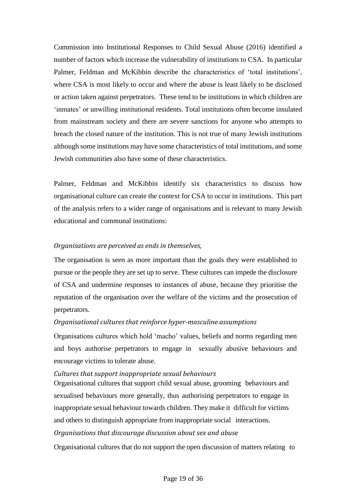Commission into Institutional Responses to Child Sexual Abuse (2016) identified a number of factors which increase the vulnerability of institutions to CSA. In particular Palmer, Feldman and McKibbin describe the characteristics of 'total institutions', where CSA is most likely to occur and where the abuse is least likely to be disclosed or action taken against perpetrators. These tend to be institutions in which children are 'inmates' or unwilling institutional residents. Total institutions often become insulated from mainstream society and there are severe sanctions for anyone who attempts to breach the closed nature of the institution. This is not true of many Jewish institutions although some institutions may have some characteristics of total institutions, and some Jewish communities also have some of these characteristics.

Palmer, Feldman and McKibbin identify six characteristics to discuss how organisational culture can create the context for CSA to occur in institutions. This part of the analysis refers to a wider range of organisations and is relevant to many Jewish educational and communal institutions:

# *Organisations are perceived as ends in themselves,*

The organisation is seen as more important than the goals they were established to pursue or the people they are set up to serve. These cultures can impede the disclosure of CSA and undermine responses to instances of abuse, because they prioritise the reputation of the organisation over the welfare of the victims and the prosecution of perpetrators.

# *Organisational cultures that reinforce hyper-masculine assumptions*

Organisations cultures which hold 'macho' values, beliefs and norms regarding men and boys authorise perpetrators to engage in sexually abusive behaviours and encourage victims to tolerate abuse.

## *Cultures that support inappropriate sexual behaviours*

Organisational cultures that support child sexual abuse, grooming behaviours and sexualised behaviours more generally, thus authorising perpetrators to engage in inappropriate sexual behaviour towards children. They make it difficult for victims and others to distinguish appropriate from inappropriate social interactions. *Organisations that discourage discussion about sex and abuse*

Organisational cultures that do not support the open discussion of matters relating to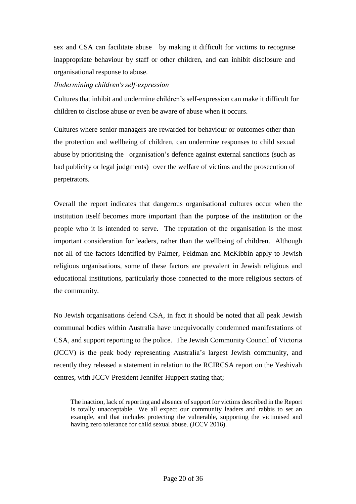sex and CSA can facilitate abuse by making it difficult for victims to recognise inappropriate behaviour by staff or other children, and can inhibit disclosure and organisational response to abuse.

## *Undermining children's self-expression*

Cultures that inhibit and undermine children's self-expression can make it difficult for children to disclose abuse or even be aware of abuse when it occurs.

Cultures where senior managers are rewarded for behaviour or outcomes other than the protection and wellbeing of children, can undermine responses to child sexual abuse by prioritising the organisation's defence against external sanctions (such as bad publicity or legal judgments) over the welfare of victims and the prosecution of perpetrators.

Overall the report indicates that dangerous organisational cultures occur when the institution itself becomes more important than the purpose of the institution or the people who it is intended to serve. The reputation of the organisation is the most important consideration for leaders, rather than the wellbeing of children. Although not all of the factors identified by Palmer, Feldman and McKibbin apply to Jewish religious organisations, some of these factors are prevalent in Jewish religious and educational institutions, particularly those connected to the more religious sectors of the community.

No Jewish organisations defend CSA, in fact it should be noted that all peak Jewish communal bodies within Australia have unequivocally condemned manifestations of CSA, and support reporting to the police. The Jewish Community Council of Victoria (JCCV) is the peak body representing Australia's largest Jewish community, and recently they released a statement in relation to the RCIRCSA report on the Yeshivah centres, with JCCV President Jennifer Huppert stating that;

The inaction, lack of reporting and absence of support for victims described in the Report is totally unacceptable. We all expect our community leaders and rabbis to set an example, and that includes protecting the vulnerable, supporting the victimised and having zero tolerance for child sexual abuse. (JCCV 2016).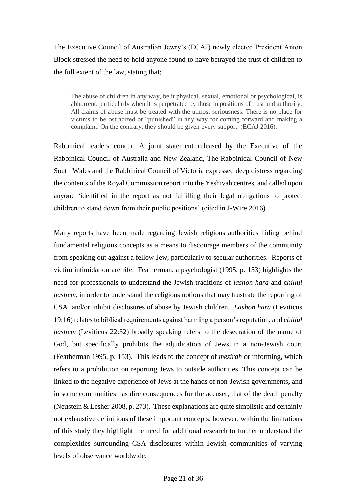The Executive Council of Australian Jewry's (ECAJ) newly elected President Anton Block stressed the need to hold anyone found to have betrayed the trust of children to the full extent of the law, stating that;

The abuse of children in any way, be it physical, sexual, emotional or psychological, is abhorrent, particularly when it is perpetrated by those in positions of trust and authority. All claims of abuse must be treated with the utmost seriousness. There is no place for victims to be ostracized or "punished" in any way for coming forward and making a complaint. On the contrary, they should be given every support. (ECAJ 2016).

Rabbinical leaders concur. A joint statement released by the Executive of the Rabbinical Council of Australia and New Zealand, The Rabbinical Council of New South Wales and the Rabbinical Council of Victoria expressed deep distress regarding the contents of the Royal Commission report into the Yeshivah centres, and called upon anyone 'identified in the report as not fulfilling their legal obligations to protect children to stand down from their public positions' (cited in J-Wire 2016).

Many reports have been made regarding Jewish religious authorities hiding behind fundamental religious concepts as a means to discourage members of the community from speaking out against a fellow Jew, particularly to secular authorities. Reports of victim intimidation are rife. Featherman, a psychologist (1995, p. 153) highlights the need for professionals to understand the Jewish traditions of *lashon hara* and c*hillul hashem*, in order to understand the religious notions that may frustrate the reporting of CSA, and/or inhibit disclosures of abuse by Jewish children. *Lashon hara* (Leviticus 19:16) relatesto biblical requirements against harming a person's reputation, and c*hillul hashem* (Leviticus 22:32) broadly speaking refers to the desecration of the name of God, but specifically prohibits the adjudication of Jews in a non-Jewish court (Featherman 1995, p. 153). This leads to the concept of *mesirah* or informing, which refers to a prohibition on reporting Jews to outside authorities. This concept can be linked to the negative experience of Jews at the hands of non-Jewish governments, and in some communities has dire consequences for the accuser, that of the death penalty (Neustein & Lesher 2008, p. 273). These explanations are quite simplistic and certainly not exhaustive definitions of these important concepts, however, within the limitations of this study they highlight the need for additional research to further understand the complexities surrounding CSA disclosures within Jewish communities of varying levels of observance worldwide.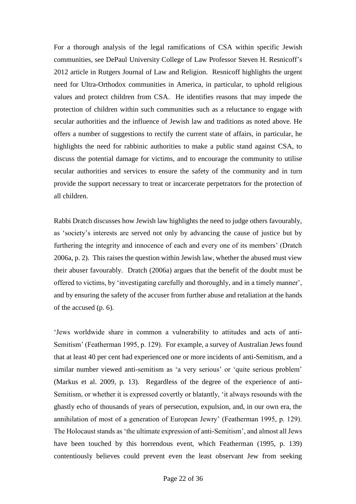For a thorough analysis of the legal ramifications of CSA within specific Jewish communities, see DePaul University College of Law Professor Steven H. Resnicoff's 2012 article in Rutgers Journal of Law and Religion. Resnicoff highlights the urgent need for Ultra-Orthodox communities in America, in particular, to uphold religious values and protect children from CSA. He identifies reasons that may impede the protection of children within such communities such as a reluctance to engage with secular authorities and the influence of Jewish law and traditions as noted above. He offers a number of suggestions to rectify the current state of affairs, in particular, he highlights the need for rabbinic authorities to make a public stand against CSA, to discuss the potential damage for victims, and to encourage the community to utilise secular authorities and services to ensure the safety of the community and in turn provide the support necessary to treat or incarcerate perpetrators for the protection of all children.

Rabbi Dratch discusses how Jewish law highlights the need to judge others favourably, as 'society's interests are served not only by advancing the cause of justice but by furthering the integrity and innocence of each and every one of its members' (Dratch 2006a, p. 2). This raises the question within Jewish law, whether the abused must view their abuser favourably. Dratch (2006a) argues that the benefit of the doubt must be offered to victims, by 'investigating carefully and thoroughly, and in a timely manner', and by ensuring the safety of the accuser from further abuse and retaliation at the hands of the accused (p. 6).

'Jews worldwide share in common a vulnerability to attitudes and acts of anti-Semitism' (Featherman 1995, p. 129). For example, a survey of Australian Jews found that at least 40 per cent had experienced one or more incidents of anti-Semitism, and a similar number viewed anti-semitism as 'a very serious' or 'quite serious problem' (Markus et al. 2009, p. 13). Regardless of the degree of the experience of anti-Semitism, or whether it is expressed covertly or blatantly, 'it always resounds with the ghastly echo of thousands of years of persecution, expulsion, and, in our own era, the annihilation of most of a generation of European Jewry' (Featherman 1995, p. 129). The Holocaust stands as 'the ultimate expression of anti-Semitism', and almost all Jews have been touched by this horrendous event, which Featherman (1995, p. 139) contentiously believes could prevent even the least observant Jew from seeking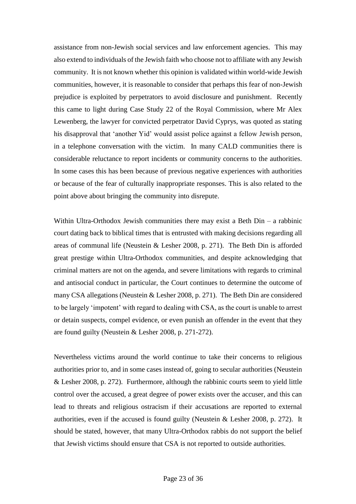assistance from non-Jewish social services and law enforcement agencies. This may also extend to individuals of the Jewish faith who choose not to affiliate with any Jewish community. It is not known whether this opinion is validated within world-wide Jewish communities, however, it is reasonable to consider that perhaps this fear of non-Jewish prejudice is exploited by perpetrators to avoid disclosure and punishment. Recently this came to light during Case Study 22 of the Royal Commission, where Mr Alex Lewenberg, the lawyer for convicted perpetrator David Cyprys, was quoted as stating his disapproval that 'another Yid' would assist police against a fellow Jewish person, in a telephone conversation with the victim. In many CALD communities there is considerable reluctance to report incidents or community concerns to the authorities. In some cases this has been because of previous negative experiences with authorities or because of the fear of culturally inappropriate responses. This is also related to the point above about bringing the community into disrepute.

Within Ultra-Orthodox Jewish communities there may exist a Beth  $D$ in – a rabbinic court dating back to biblical times that is entrusted with making decisions regarding all areas of communal life (Neustein & Lesher 2008, p. 271). The Beth Din is afforded great prestige within Ultra-Orthodox communities, and despite acknowledging that criminal matters are not on the agenda, and severe limitations with regards to criminal and antisocial conduct in particular, the Court continues to determine the outcome of many CSA allegations (Neustein & Lesher 2008, p. 271). The Beth Din are considered to be largely 'impotent' with regard to dealing with CSA, as the court is unable to arrest or detain suspects, compel evidence, or even punish an offender in the event that they are found guilty (Neustein & Lesher 2008, p. 271-272).

Nevertheless victims around the world continue to take their concerns to religious authorities prior to, and in some cases instead of, going to secular authorities (Neustein & Lesher 2008, p. 272). Furthermore, although the rabbinic courts seem to yield little control over the accused, a great degree of power exists over the accuser, and this can lead to threats and religious ostracism if their accusations are reported to external authorities, even if the accused is found guilty (Neustein & Lesher 2008, p. 272). It should be stated, however, that many Ultra-Orthodox rabbis do not support the belief that Jewish victims should ensure that CSA is not reported to outside authorities.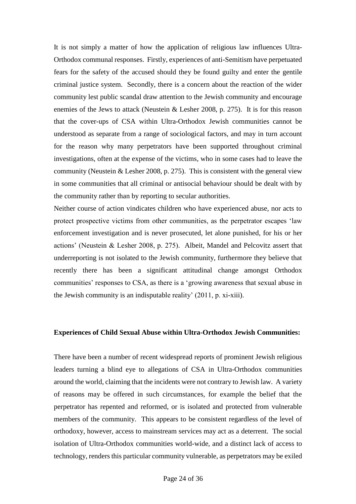It is not simply a matter of how the application of religious law influences Ultra-Orthodox communal responses. Firstly, experiences of anti-Semitism have perpetuated fears for the safety of the accused should they be found guilty and enter the gentile criminal justice system. Secondly, there is a concern about the reaction of the wider community lest public scandal draw attention to the Jewish community and encourage enemies of the Jews to attack (Neustein & Lesher 2008, p. 275). It is for this reason that the cover-ups of CSA within Ultra-Orthodox Jewish communities cannot be understood as separate from a range of sociological factors, and may in turn account for the reason why many perpetrators have been supported throughout criminal investigations, often at the expense of the victims, who in some cases had to leave the community (Neustein & Lesher 2008, p. 275). This is consistent with the general view in some communities that all criminal or antisocial behaviour should be dealt with by the community rather than by reporting to secular authorities.

Neither course of action vindicates children who have experienced abuse, nor acts to protect prospective victims from other communities, as the perpetrator escapes 'law enforcement investigation and is never prosecuted, let alone punished, for his or her actions' (Neustein & Lesher 2008, p. 275). Albeit, Mandel and Pelcovitz assert that underreporting is not isolated to the Jewish community, furthermore they believe that recently there has been a significant attitudinal change amongst Orthodox communities' responses to CSA, as there is a 'growing awareness that sexual abuse in the Jewish community is an indisputable reality' (2011, p. xi-xiii).

#### **Experiences of Child Sexual Abuse within Ultra-Orthodox Jewish Communities:**

There have been a number of recent widespread reports of prominent Jewish religious leaders turning a blind eye to allegations of CSA in Ultra-Orthodox communities around the world, claiming that the incidents were not contrary to Jewish law. A variety of reasons may be offered in such circumstances, for example the belief that the perpetrator has repented and reformed, or is isolated and protected from vulnerable members of the community. This appears to be consistent regardless of the level of orthodoxy, however, access to mainstream services may act as a deterrent. The social isolation of Ultra-Orthodox communities world-wide, and a distinct lack of access to technology, renders this particular community vulnerable, as perpetrators may be exiled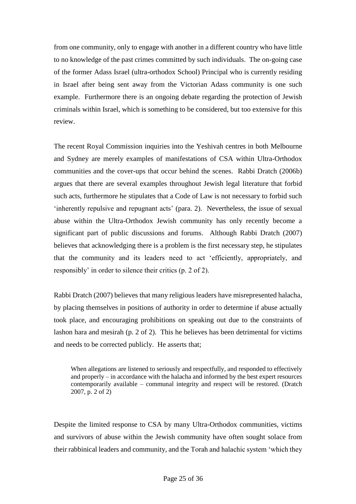from one community, only to engage with another in a different country who have little to no knowledge of the past crimes committed by such individuals. The on-going case of the former Adass Israel (ultra-orthodox School) Principal who is currently residing in Israel after being sent away from the Victorian Adass community is one such example. Furthermore there is an ongoing debate regarding the protection of Jewish criminals within Israel, which is something to be considered, but too extensive for this review.

The recent Royal Commission inquiries into the Yeshivah centres in both Melbourne and Sydney are merely examples of manifestations of CSA within Ultra-Orthodox communities and the cover-ups that occur behind the scenes. Rabbi Dratch (2006b) argues that there are several examples throughout Jewish legal literature that forbid such acts, furthermore he stipulates that a Code of Law is not necessary to forbid such 'inherently repulsive and repugnant acts' (para. 2). Nevertheless, the issue of sexual abuse within the Ultra-Orthodox Jewish community has only recently become a significant part of public discussions and forums. Although Rabbi Dratch (2007) believes that acknowledging there is a problem is the first necessary step, he stipulates that the community and its leaders need to act 'efficiently, appropriately, and responsibly' in order to silence their critics (p. 2 of 2).

Rabbi Dratch (2007) believes that many religious leaders have misrepresented halacha, by placing themselves in positions of authority in order to determine if abuse actually took place, and encouraging prohibitions on speaking out due to the constraints of lashon hara and mesirah (p. 2 of 2). This he believes has been detrimental for victims and needs to be corrected publicly. He asserts that;

When allegations are listened to seriously and respectfully, and responded to effectively and properly – in accordance with the halacha and informed by the best expert resources contemporarily available – communal integrity and respect will be restored. (Dratch 2007, p. 2 of 2)

Despite the limited response to CSA by many Ultra-Orthodox communities, victims and survivors of abuse within the Jewish community have often sought solace from their rabbinical leaders and community, and the Torah and halachic system 'which they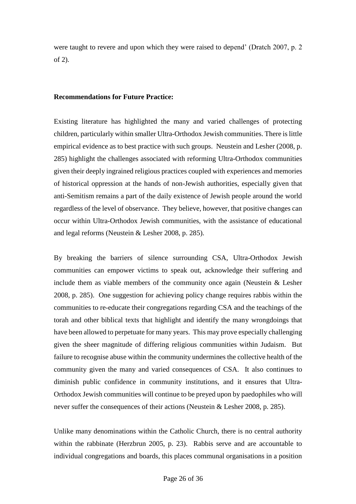were taught to revere and upon which they were raised to depend' (Dratch 2007, p. 2 of 2).

# **Recommendations for Future Practice:**

Existing literature has highlighted the many and varied challenges of protecting children, particularly within smaller Ultra-Orthodox Jewish communities. There is little empirical evidence as to best practice with such groups. Neustein and Lesher (2008, p. 285) highlight the challenges associated with reforming Ultra-Orthodox communities given their deeply ingrained religious practices coupled with experiences and memories of historical oppression at the hands of non-Jewish authorities, especially given that anti-Semitism remains a part of the daily existence of Jewish people around the world regardless of the level of observance. They believe, however, that positive changes can occur within Ultra-Orthodox Jewish communities, with the assistance of educational and legal reforms (Neustein & Lesher 2008, p. 285).

By breaking the barriers of silence surrounding CSA, Ultra-Orthodox Jewish communities can empower victims to speak out, acknowledge their suffering and include them as viable members of the community once again (Neustein & Lesher 2008, p. 285). One suggestion for achieving policy change requires rabbis within the communities to re-educate their congregations regarding CSA and the teachings of the torah and other biblical texts that highlight and identify the many wrongdoings that have been allowed to perpetuate for many years. This may prove especially challenging given the sheer magnitude of differing religious communities within Judaism. But failure to recognise abuse within the community undermines the collective health of the community given the many and varied consequences of CSA. It also continues to diminish public confidence in community institutions, and it ensures that Ultra-Orthodox Jewish communities will continue to be preyed upon by paedophiles who will never suffer the consequences of their actions (Neustein & Lesher 2008, p. 285).

Unlike many denominations within the Catholic Church, there is no central authority within the rabbinate (Herzbrun 2005, p. 23). Rabbis serve and are accountable to individual congregations and boards, this places communal organisations in a position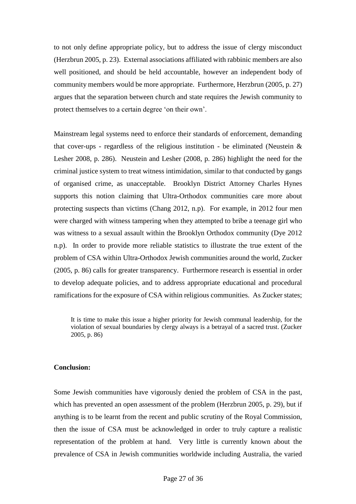to not only define appropriate policy, but to address the issue of clergy misconduct (Herzbrun 2005, p. 23). External associations affiliated with rabbinic members are also well positioned, and should be held accountable, however an independent body of community members would be more appropriate. Furthermore, Herzbrun (2005, p. 27) argues that the separation between church and state requires the Jewish community to protect themselves to a certain degree 'on their own'.

Mainstream legal systems need to enforce their standards of enforcement, demanding that cover-ups - regardless of the religious institution - be eliminated (Neustein  $\&$ Lesher 2008, p. 286). Neustein and Lesher (2008, p. 286) highlight the need for the criminal justice system to treat witness intimidation, similar to that conducted by gangs of organised crime, as unacceptable. Brooklyn District Attorney Charles Hynes supports this notion claiming that Ultra-Orthodox communities care more about protecting suspects than victims (Chang 2012, n.p). For example, in 2012 four men were charged with witness tampering when they attempted to bribe a teenage girl who was witness to a sexual assault within the Brooklyn Orthodox community (Dye 2012 n.p). In order to provide more reliable statistics to illustrate the true extent of the problem of CSA within Ultra-Orthodox Jewish communities around the world, Zucker (2005, p. 86) calls for greater transparency. Furthermore research is essential in order to develop adequate policies, and to address appropriate educational and procedural ramifications for the exposure of CSA within religious communities. As Zucker states;

It is time to make this issue a higher priority for Jewish communal leadership, for the violation of sexual boundaries by clergy always is a betrayal of a sacred trust. (Zucker 2005, p. 86)

## **Conclusion:**

Some Jewish communities have vigorously denied the problem of CSA in the past, which has prevented an open assessment of the problem (Herzbrun 2005, p. 29), but if anything is to be learnt from the recent and public scrutiny of the Royal Commission, then the issue of CSA must be acknowledged in order to truly capture a realistic representation of the problem at hand. Very little is currently known about the prevalence of CSA in Jewish communities worldwide including Australia, the varied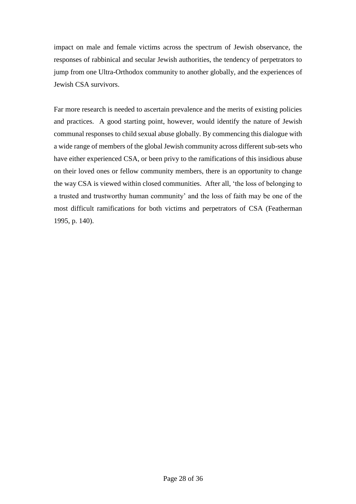impact on male and female victims across the spectrum of Jewish observance, the responses of rabbinical and secular Jewish authorities, the tendency of perpetrators to jump from one Ultra-Orthodox community to another globally, and the experiences of Jewish CSA survivors.

Far more research is needed to ascertain prevalence and the merits of existing policies and practices. A good starting point, however, would identify the nature of Jewish communal responses to child sexual abuse globally. By commencing this dialogue with a wide range of members of the global Jewish community across different sub-sets who have either experienced CSA, or been privy to the ramifications of this insidious abuse on their loved ones or fellow community members, there is an opportunity to change the way CSA is viewed within closed communities. After all, 'the loss of belonging to a trusted and trustworthy human community' and the loss of faith may be one of the most difficult ramifications for both victims and perpetrators of CSA (Featherman 1995, p. 140).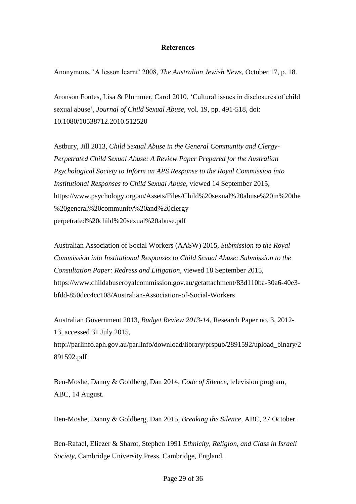## **References**

Anonymous, 'A lesson learnt' 2008, *The Australian Jewish News*, October 17, p. 18.

Aronson Fontes, Lisa & Plummer, Carol 2010, 'Cultural issues in disclosures of child sexual abuse', *Journal of Child Sexual Abuse*, vol. 19, pp. 491-518, doi: 10.1080/10538712.2010.512520

Astbury, Jill 2013, *Child Sexual Abuse in the General Community and Clergy-Perpetrated Child Sexual Abuse: A Review Paper Prepared for the Australian Psychological Society to Inform an APS Response to the Royal Commission into Institutional Responses to Child Sexual Abuse,* viewed 14 September 2015, https://www.psychology.org.au/Assets/Files/Child%20sexual%20abuse%20in%20the %20general%20community%20and%20clergyperpetrated%20child%20sexual%20abuse.pdf

Australian Association of Social Workers (AASW) 2015, *Submission to the Royal Commission into Institutional Responses to Child Sexual Abuse: Submission to the Consultation Paper: Redress and Litigation,* viewed 18 September 2015, https://www.childabuseroyalcommission.gov.au/getattachment/83d110ba-30a6-40e3 bfdd-850dcc4cc108/Australian-Association-of-Social-Workers

Australian Government 2013, *Budget Review 2013-14*, Research Paper no. 3, 2012- 13, accessed 31 July 2015, http://parlinfo.aph.gov.au/parlInfo/download/library/prspub/2891592/upload\_binary/2 891592.pdf

Ben-Moshe, Danny & Goldberg, Dan 2014, *Code of Silence*, television program, ABC, 14 August.

Ben-Moshe, Danny & Goldberg, Dan 2015, *Breaking the Silence*, ABC, 27 October.

Ben-Rafael, Eliezer & Sharot, Stephen 1991 *Ethnicity, Religion, and Class in Israeli Society*, Cambridge University Press, Cambridge, England.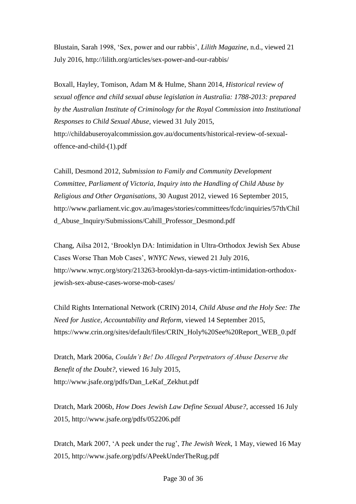Blustain, Sarah 1998, 'Sex, power and our rabbis', *Lilith Magazine*, n.d., viewed 21 July 2016, http://lilith.org/articles/sex-power-and-our-rabbis/

Boxall, Hayley, Tomison, Adam M & Hulme, Shann 2014, *Historical review of sexual offence and child sexual abuse legislation in Australia: 1788-2013: prepared by the Australian Institute of Criminology for the Royal Commission into Institutional Responses to Child Sexual Abuse,* viewed 31 July 2015, http://childabuseroyalcommission.gov.au/documents/historical-review-of-sexualoffence-and-child-(1).pdf

Cahill, Desmond 2012, *Submission to Family and Community Development Committee, Parliament of Victoria, Inquiry into the Handling of Child Abuse by Religious and Other Organisations*, 30 August 2012, viewed 16 September 2015, http://www.parliament.vic.gov.au/images/stories/committees/fcdc/inquiries/57th/Chil d\_Abuse\_Inquiry/Submissions/Cahill\_Professor\_Desmond.pdf

Chang, Ailsa 2012, 'Brooklyn DA: Intimidation in Ultra-Orthodox Jewish Sex Abuse Cases Worse Than Mob Cases', *WNYC News*, viewed 21 July 2016, http://www.wnyc.org/story/213263-brooklyn-da-says-victim-intimidation-orthodoxjewish-sex-abuse-cases-worse-mob-cases/

Child Rights International Network (CRIN) 2014, *Child Abuse and the Holy See: The Need for Justice, Accountability and Reform*, viewed 14 September 2015, https://www.crin.org/sites/default/files/CRIN\_Holy%20See%20Report\_WEB\_0.pdf

Dratch, Mark 2006a, *Couldn't Be! Do Alleged Perpetrators of Abuse Deserve the Benefit of the Doubt?*, viewed 16 July 2015, http://www.jsafe.org/pdfs/Dan\_LeKaf\_Zekhut.pdf

Dratch, Mark 2006b, *How Does Jewish Law Define Sexual Abuse?*, accessed 16 July 2015, http://www.jsafe.org/pdfs/052206.pdf

Dratch, Mark 2007, 'A peek under the rug', *The Jewish Week*, 1 May, viewed 16 May 2015, http://www.jsafe.org/pdfs/APeekUnderTheRug.pdf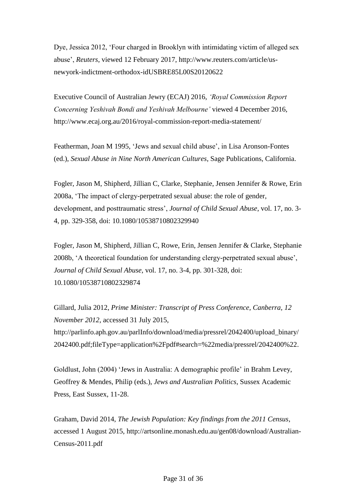Dye, Jessica 2012, 'Four charged in Brooklyn with intimidating victim of alleged sex abuse', *Reuters*, viewed 12 February 2017, http://www.reuters.com/article/usnewyork-indictment-orthodox-idUSBRE85L00S20120622

Executive Council of Australian Jewry (ECAJ) 2016, *'Royal Commission Report Concerning Yeshivah Bondi and Yeshivah Melbourne'* viewed 4 December 2016, http://www.ecaj.org.au/2016/royal-commission-report-media-statement/

Featherman, Joan M 1995, 'Jews and sexual child abuse', in Lisa Aronson-Fontes (ed.), *Sexual Abuse in Nine North American Cultures*, Sage Publications, California.

Fogler, Jason M, Shipherd, Jillian C, Clarke, Stephanie, Jensen Jennifer & Rowe, Erin 2008a, 'The impact of clergy-perpetrated sexual abuse: the role of gender, development, and posttraumatic stress', *Journal of Child Sexual Abuse*, vol. 17, no. 3- 4, pp. 329-358, doi: 10.1080/10538710802329940

Fogler, Jason M, Shipherd, Jillian C, Rowe, Erin, Jensen Jennifer & Clarke, Stephanie 2008b, 'A theoretical foundation for understanding clergy-perpetrated sexual abuse', *Journal of Child Sexual Abuse*, vol. 17, no. 3-4, pp. 301-328, doi: 10.1080/10538710802329874

Gillard, Julia 2012, *Prime Minister: Transcript of Press Conference, Canberra, 12 November 2012*, accessed 31 July 2015, [http://parlinfo.aph.gov.au/parlInfo/download/media/pressrel/2042400/upload\\_binary/](http://parlinfo.aph.gov.au/parlInfo/download/media/pressrel/2042400/upload_binary/2042400.pdf;fileType=application%2Fpdf#search=%22media/pressrel/2042400%22) [2042400.pdf;fileType=application%2Fpdf#search=%22media/pressrel/2042400%22.](http://parlinfo.aph.gov.au/parlInfo/download/media/pressrel/2042400/upload_binary/2042400.pdf;fileType=application%2Fpdf#search=%22media/pressrel/2042400%22)

Goldlust, John (2004) 'Jews in Australia: A demographic profile' in Brahm Levey, Geoffrey & Mendes, Philip (eds.), *Jews and Australian Politics*, Sussex Academic Press, East Sussex, 11-28.

Graham, David 2014, *The Jewish Population: Key findings from the 2011 Census*, accessed 1 August 2015, http://artsonline.monash.edu.au/gen08/download/Australian-Census-2011.pdf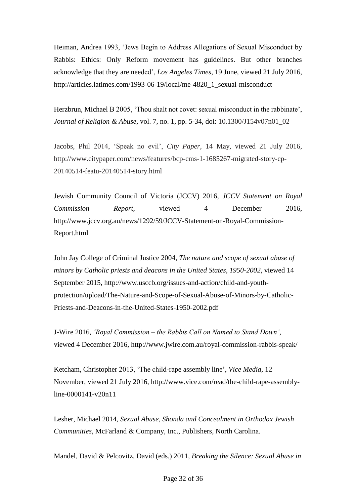Heiman, Andrea 1993, 'Jews Begin to Address Allegations of Sexual Misconduct by Rabbis: Ethics: Only Reform movement has guidelines. But other branches acknowledge that they are needed', *Los Angeles Times*, 19 June, viewed 21 July 2016, http://articles.latimes.com/1993-06-19/local/me-4820\_1\_sexual-misconduct

Herzbrun, Michael B 2005, 'Thou shalt not covet: sexual misconduct in the rabbinate', *Journal of Religion & Abuse*, vol. 7, no. 1, pp. 5-34, doi: 10.1300/J154v07n01\_02

Jacobs, Phil 2014, 'Speak no evil', *City Paper*, 14 May, viewed 21 July 2016, http://www.citypaper.com/news/features/bcp-cms-1-1685267-migrated-story-cp-20140514-featu-20140514-story.html

Jewish Community Council of Victoria (JCCV) 2016, *JCCV Statement on Royal Commission Report*, viewed 4 December 2016, http://www.jccv.org.au/news/1292/59/JCCV-Statement-on-Royal-Commission-Report.html

John Jay College of Criminal Justice 2004, *The nature and scope of sexual abuse of minors by Catholic priests and deacons in the United States, 1950-2002*, viewed 14 September 2015, http://www.usccb.org/issues-and-action/child-and-youthprotection/upload/The-Nature-and-Scope-of-Sexual-Abuse-of-Minors-by-Catholic-Priests-and-Deacons-in-the-United-States-1950-2002.pdf

J-Wire 2016, *'Royal Commission – the Rabbis Call on Named to Stand Down'*, viewed 4 December 2016, http://www.jwire.com.au/royal-commission-rabbis-speak/

Ketcham, Christopher 2013, 'The child-rape assembly line', *Vice Media*, 12 November, viewed 21 July 2016, http://www.vice.com/read/the-child-rape-assemblyline-0000141-v20n11

Lesher, Michael 2014, *Sexual Abuse, Shonda and Concealment in Orthodox Jewish Communities*, McFarland & Company, Inc., Publishers, North Carolina.

Mandel, David & Pelcovitz, David (eds.) 2011, *Breaking the Silence: Sexual Abuse in*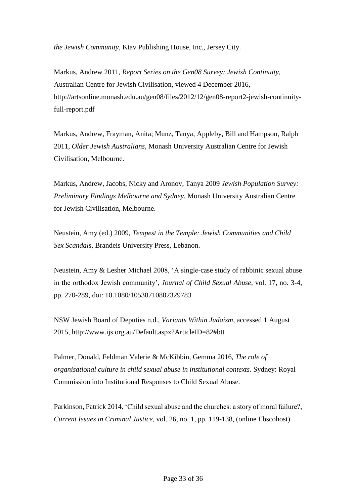*the Jewish Community*, Ktav Publishing House, Inc., Jersey City.

Markus, Andrew 2011, *Report Series on the Gen08 Survey: Jewish Continuity*, Australian Centre for Jewish Civilisation, viewed 4 December 2016, [http://artsonline.monash.edu.au/gen08/files/2012/12/gen08-report2-jewish-continuity](http://artsonline.monash.edu.au/gen08/files/2012/12/gen08-report2-jewish-continuity-full-report.pdf)[full-report.pdf](http://artsonline.monash.edu.au/gen08/files/2012/12/gen08-report2-jewish-continuity-full-report.pdf)

Markus, Andrew, Frayman, Anita; Munz, Tanya, Appleby, Bill and Hampson, Ralph 2011, *Older Jewish Australians*, Monash University Australian Centre for Jewish Civilisation, Melbourne.

Markus, Andrew, Jacobs, Nicky and Aronov, Tanya 2009 *Jewish Population Survey: Preliminary Findings Melbourne and Sydney*. Monash University Australian Centre for Jewish Civilisation, Melbourne.

Neustein, Amy (ed.) 2009, *Tempest in the Temple: Jewish Communities and Child Sex Scandals*, Brandeis University Press, Lebanon.

Neustein, Amy & Lesher Michael 2008, 'A single-case study of rabbinic sexual abuse in the orthodox Jewish community', *Journal of Child Sexual Abuse*, vol. 17, no. 3-4, pp. 270-289, doi: 10.1080/10538710802329783

NSW Jewish Board of Deputies n.d., *Variants Within Judaism*, accessed 1 August 2015, http://www.ijs.org.au/Default.aspx?ArticleID=82#btt

Palmer, Donald, Feldman Valerie & McKibbin, Gemma 2016, *The role of organisational culture in child sexual abuse in institutional contexts.* Sydney: Royal Commission into Institutional Responses to Child Sexual Abuse.

Parkinson, Patrick 2014, 'Child sexual abuse and the churches: a story of moral failure?, *Current Issues in Criminal Justice*, vol. 26, no. 1, pp. 119-138, (online Ebscohost).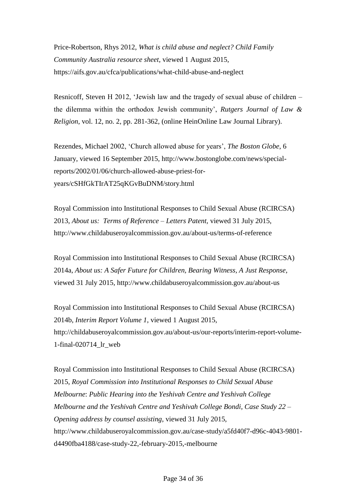Price-Robertson, Rhys 2012, *What is child abuse and neglect? Child Family Community Australia resource sheet*, viewed 1 August 2015, https://aifs.gov.au/cfca/publications/what-child-abuse-and-neglect

Resnicoff, Steven H 2012, 'Jewish law and the tragedy of sexual abuse of children – the dilemma within the orthodox Jewish community', *Rutgers Journal of Law & Religion*, vol. 12, no. 2, pp. 281-362, (online HeinOnline Law Journal Library).

Rezendes, Michael 2002, 'Church allowed abuse for years', *The Boston Globe*, 6 January, viewed 16 September 2015, http://www.bostonglobe.com/news/specialreports/2002/01/06/church-allowed-abuse-priest-foryears/cSHfGkTIrAT25qKGvBuDNM/story.html

Royal Commission into Institutional Responses to Child Sexual Abuse (RCIRCSA) 2013, *About us: Terms of Reference – Letters Patent,* viewed 31 July 2015, http://www.childabuseroyalcommission.gov.au/about-us/terms-of-reference

Royal Commission into Institutional Responses to Child Sexual Abuse (RCIRCSA) 2014a, *About us: A Safer Future for Children, Bearing Witness, A Just Response*, viewed 31 July 2015, http://www.childabuseroyalcommission.gov.au/about-us

Royal Commission into Institutional Responses to Child Sexual Abuse (RCIRCSA) 2014b, *Interim Report Volume 1*, viewed 1 August 2015, http://childabuseroyalcommission.gov.au/about-us/our-reports/interim-report-volume-1-final-020714\_lr\_web

Royal Commission into Institutional Responses to Child Sexual Abuse (RCIRCSA) 2015, *Royal Commission into Institutional Responses to Child Sexual Abuse Melbourne*: *Public Hearing into the Yeshivah Centre and Yeshivah College Melbourne and the Yeshivah Centre and Yeshivah College Bondi, Case Study 22 – Opening address by counsel assisting*, viewed 31 July 2015, http://www.childabuseroyalcommission.gov.au/case-study/a5fd40f7-d96c-4043-9801 d4490fba4188/case-study-22,-february-2015,-melbourne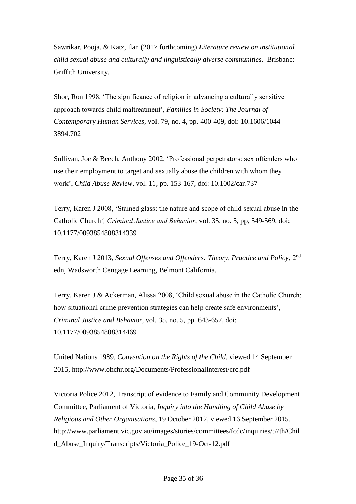Sawrikar, Pooja. & Katz, Ilan (2017 forthcoming) *Literature review on institutional child sexual abuse and culturally and linguistically diverse communities*. Brisbane: Griffith University.

Shor, Ron 1998, 'The significance of religion in advancing a culturally sensitive approach towards child maltreatment', *Families in Society: The Journal of Contemporary Human Services*, vol. 79, no. 4, pp. 400-409, doi: [10.1606/1044-](http://dx.doi.org/10.1606/1044-3894.702) [3894.702](http://dx.doi.org/10.1606/1044-3894.702)

Sullivan, Joe & Beech, Anthony 2002, 'Professional perpetrators: sex offenders who use their employment to target and sexually abuse the children with whom they work', *Child Abuse Review*, vol. 11, pp. 153-167, doi: 10.1002/car.737

Terry, Karen J 2008, 'Stained glass: the nature and scope of child sexual abuse in the Catholic Church*', Criminal Justice and Behavior*, vol. 35, no. 5, pp, 549-569, doi: 10.1177/0093854808314339

Terry, Karen J 2013, *Sexual Offenses and Offenders: Theory, Practice and Policy*, 2nd edn, Wadsworth Cengage Learning, Belmont California.

Terry, Karen J & Ackerman, Alissa 2008, 'Child sexual abuse in the Catholic Church: how situational crime prevention strategies can help create safe environments', *Criminal Justice and Behavior*, vol. 35, no. 5, pp. 643-657, doi: 10.1177/0093854808314469

United Nations 1989, *Convention on the Rights of the Child*, viewed 14 September 2015, http://www.ohchr.org/Documents/ProfessionalInterest/crc.pdf

Victoria Police 2012, Transcript of evidence to Family and Community Development Committee, Parliament of Victoria, *Inquiry into the Handling of Child Abuse by Religious and Other Organisations*, 19 October 2012, viewed 16 September 2015, [http://www.parliament.vic.gov.au/images/stories/committees/fcdc/inquiries/57th/Chil](http://www.parliament.vic.gov.au/images/stories/committees/fcdc/inquiries/57th/Child_Abuse_Inquiry/Transcripts/Victoria_Police_19-Oct-12.pdf) [d\\_Abuse\\_Inquiry/Transcripts/Victoria\\_Police\\_19-Oct-12.pdf](http://www.parliament.vic.gov.au/images/stories/committees/fcdc/inquiries/57th/Child_Abuse_Inquiry/Transcripts/Victoria_Police_19-Oct-12.pdf)